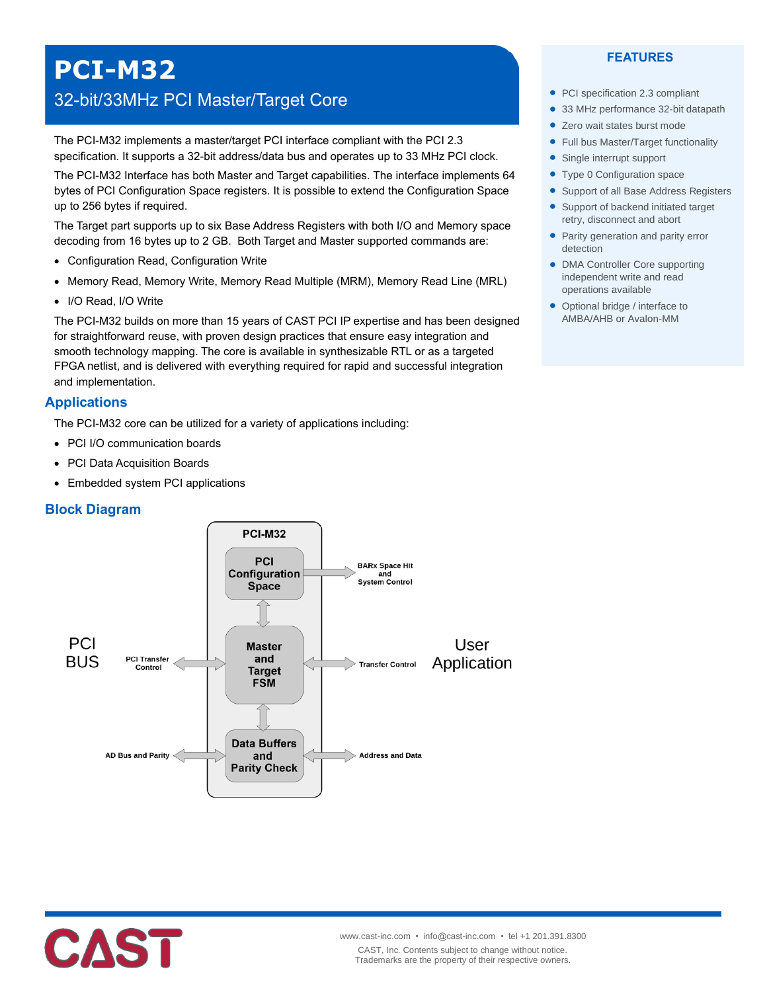# **PCI-M32**

# 32-bit/33MHz PCI Master/Target Core

The PCI-M32 implements a master/target PCI interface compliant with the PCI 2.3 specification. It supports a 32-bit address/data bus and operates up to 33 MHz PCI clock.

The PCI-M32 Interface has both Master and Target capabilities. The interface implements 64 bytes of PCI Configuration Space registers. It is possible to extend the Configuration Space up to 256 bytes if required.

The Target part supports up to six Base Address Registers with both I/O and Memory space decoding from 16 bytes up to 2 GB. Both Target and Master supported commands are:

- Configuration Read, Configuration Write
- Memory Read, Memory Write, Memory Read Multiple (MRM), Memory Read Line (MRL)
- I/O Read, I/O Write

The PCI-M32 builds on more than 15 years of CAST PCI IP expertise and has been designed for straightforward reuse, with proven design practices that ensure easy integration and smooth technology mapping. The core is available in synthesizable RTL or as a targeted FPGA netlist, and is delivered with everything required for rapid and successful integration and implementation.

# **Applications**

The PCI-M32 core can be utilized for a variety of applications including:

- PCI I/O communication boards
- PCI Data Acquisition Boards
- Embedded system PCI applications

#### **Block Diagram**



CAST

#### **FEATURES**

- PCI specification 2.3 compliant
- 33 MHz performance 32-bit datapath
- Zero wait states burst mode
	- Full bus Master/Target functionality
	- Single interrupt support
	- Type 0 Configuration space
	- Support of all Base Address Registers
	- Support of backend initiated target retry, disconnect and abort
	- Parity generation and parity error detection
	- DMA Controller Core supporting independent write and read operations available
	- Optional bridge / interface to AMBA/AHB or Avalon-MM